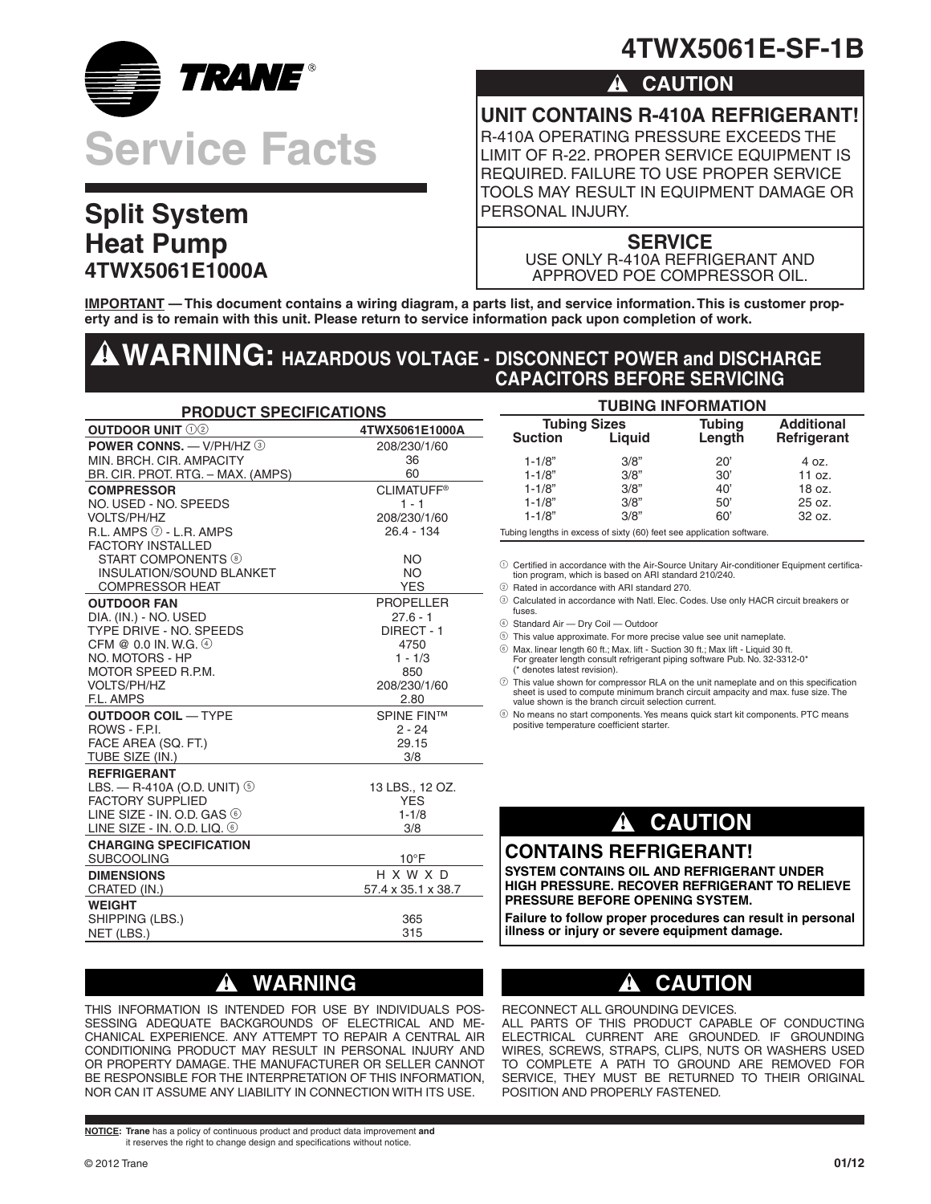

# **Split System Heat Pump 4TWX5061E1000A**

# **4TWX5061E-SF-1B**

### **! CAUTION**

**UNIT CONTAINS R-410A REFRIGERANT!**

R-410A OPERATING PRESSURE EXCEEDS THE LIMIT OF R-22. PROPER SERVICE EQUIPMENT IS REQUIRED. FAILURE TO USE PROPER SERVICE TOOLS MAY RESULT IN EQUIPMENT DAMAGE OR PERSONAL INJURY.

#### **SERVICE**

USE ONLY R-410A REFRIGERANT AND APPROVED POE COMPRESSOR OIL.

**IMPORTANT — This document contains a wiring diagram, a parts list, and service information. This is customer property and is to remain with this unit. Please return to service information pack upon completion of work.**

## **WARNING: HAZARDOUS VOLTAGE - DISCONNECT POWER and DISCHARGE CAPACITORS BEFORE SERVICING**

| <b>PRODUCT SPECIFICATIONS</b>            |                    |  |  |  |
|------------------------------------------|--------------------|--|--|--|
| <b>OUTDOOR UNIT 102</b>                  | 4TWX5061E1000A     |  |  |  |
| POWER CONNS. - V/PH/HZ 3                 | 208/230/1/60       |  |  |  |
| MIN. BRCH. CIR. AMPACITY                 | 36                 |  |  |  |
| BR. CIR. PROT. RTG. - MAX. (AMPS)        | 60                 |  |  |  |
| <b>COMPRESSOR</b>                        | <b>CLIMATUFF®</b>  |  |  |  |
| NO. USED - NO. SPEEDS                    | $1 - 1$            |  |  |  |
| <b>VOLTS/PH/HZ</b>                       | 208/230/1/60       |  |  |  |
| $R.L.$ AMPS $\oslash$ - L.R. AMPS        | $26.4 - 134$       |  |  |  |
| <b>FACTORY INSTALLED</b>                 |                    |  |  |  |
| <b>START COMPONENTS ®</b>                | <b>NO</b>          |  |  |  |
| <b>INSULATION/SOUND BLANKET</b>          | <b>NO</b>          |  |  |  |
| <b>COMPRESSOR HEAT</b>                   | <b>YES</b>         |  |  |  |
| <b>OUTDOOR FAN</b>                       | <b>PROPELLER</b>   |  |  |  |
| DIA. (IN.) - NO. USED                    | $27.6 - 1$         |  |  |  |
| TYPE DRIVE - NO. SPEEDS                  | DIRECT - 1         |  |  |  |
| CFM @ 0.0 IN. W.G. 4<br>NO. MOTORS - HP  | 4750<br>$1 - 1/3$  |  |  |  |
| MOTOR SPEED R.P.M.                       | 850                |  |  |  |
| <b>VOLTS/PH/HZ</b>                       | 208/230/1/60       |  |  |  |
| F.L. AMPS                                | 2.80               |  |  |  |
| <b>OUTDOOR COIL - TYPE</b>               | <b>SPINE FIN™</b>  |  |  |  |
| ROWS - F.P.I.                            | $2 - 24$           |  |  |  |
| FACE AREA (SQ. FT.)                      | 29.15              |  |  |  |
| TUBE SIZE (IN.)                          | 3/8                |  |  |  |
| <b>REFRIGERANT</b>                       |                    |  |  |  |
| LBS. - R-410A (O.D. UNIT) 5              | 13 LBS., 12 OZ.    |  |  |  |
| <b>FACTORY SUPPLIED</b>                  | <b>YES</b>         |  |  |  |
| LINE SIZE - IN. O.D. GAS $\circledcirc$  | $1 - 1/8$          |  |  |  |
| LINE SIZE - IN. O.D. LIQ. $\circledcirc$ | 3/8                |  |  |  |
| <b>CHARGING SPECIFICATION</b>            |                    |  |  |  |
| <b>SUBCOOLING</b>                        | $10^{\circ}$ F     |  |  |  |
| <b>DIMENSIONS</b>                        | H X W X D          |  |  |  |
| CRATED (IN.)                             | 57.4 x 35.1 x 38.7 |  |  |  |
| <b>WEIGHT</b>                            |                    |  |  |  |
| SHIPPING (LBS.)                          | 365                |  |  |  |
| NET (LBS.)                               | 315                |  |  |  |

## **! WARNING**

THIS INFORMATION IS INTENDED FOR USE BY INDIVIDUALS POS-SESSING ADEQUATE BACKGROUNDS OF ELECTRICAL AND ME-CHANICAL EXPERIENCE. ANY ATTEMPT TO REPAIR A CENTRAL AIR CONDITIONING PRODUCT MAY RESULT IN PERSONAL INJURY AND OR PROPERTY DAMAGE. THE MANUFACTURER OR SELLER CANNOT BE RESPONSIBLE FOR THE INTERPRETATION OF THIS INFORMATION, NOR CAN IT ASSUME ANY LIABILITY IN CONNECTION WITH ITS USE.

**NOTICE: Trane** has a policy of continuous product and product data improvement **and** it reserves the right to change design and specifications without notice.

#### **TUBING INFORMATION**

| <b>Tubing Sizes</b> |        | <b>Tubing</b> | <b>Additional</b> |  |
|---------------------|--------|---------------|-------------------|--|
| <b>Suction</b>      | Liguid | Length        | Refrigerant       |  |
| $1 - 1/8"$          | 3/8"   | 20'           | 4 oz.             |  |
| $1 - 1/8"$          | 3/8"   | 30'           | 11 oz.            |  |
| $1 - 1/8"$          | 3/8"   | 40'           | 18 oz.            |  |
| $1 - 1/8"$          | 3/8"   | 50'           | 25 oz.            |  |
| $1 - 1/8"$          | 3/8"   | 60'           | $32 oz$ .         |  |

Tubing lengths in excess of sixty (60) feet see application software.

1 Certified in accordance with the Air-Source Unitary Air-conditioner Equipment certifica-tion program, which is based on ARI standard 210/240.

- 2 Rated in accordance with ARI standard 270.
- 3 Calculated in accordance with Natl. Elec. Codes. Use only HACR circuit breakers or fuses.
- 4 Standard Air Dry Coil Outdoor
- 5 This value approximate. For more precise value see unit nameplate.
- 6 Max. linear length 60 ft.; Max. lift Suction 30 ft.; Max lift Liquid 30 ft. For greater length consult refrigerant piping software Pub. No. 32-3312-0\* (\* denotes latest revision).
- $\circled{2}$  This value shown for compressor RLA on the unit nameplate and on this specification sheet is used to compute minimum branch circuit ampacity and max. fuse size. The value shown is the branch circuit selection current.
- 8 No means no start components. Yes means quick start kit components. PTC means positive temperature coefficient starter.

## **! CAUTION**

#### **CONTAINS REFRIGERANT!**

**SYSTEM CONTAINS OIL AND REFRIGERANT UNDER HIGH PRESSURE. RECOVER REFRIGERANT TO RELIEVE PRESSURE BEFORE OPENING SYSTEM.**

**Failure to follow proper procedures can result in personal illness or injury or severe equipment damage.**

## **! CAUTION**

RECONNECT ALL GROUNDING DEVICES. ALL PARTS OF THIS PRODUCT CAPABLE OF CONDUCTING ELECTRICAL CURRENT ARE GROUNDED. IF GROUNDING WIRES, SCREWS, STRAPS, CLIPS, NUTS OR WASHERS USED TO COMPLETE A PATH TO GROUND ARE REMOVED FOR SERVICE, THEY MUST BE RETURNED TO THEIR ORIGINAL POSITION AND PROPERLY FASTENED.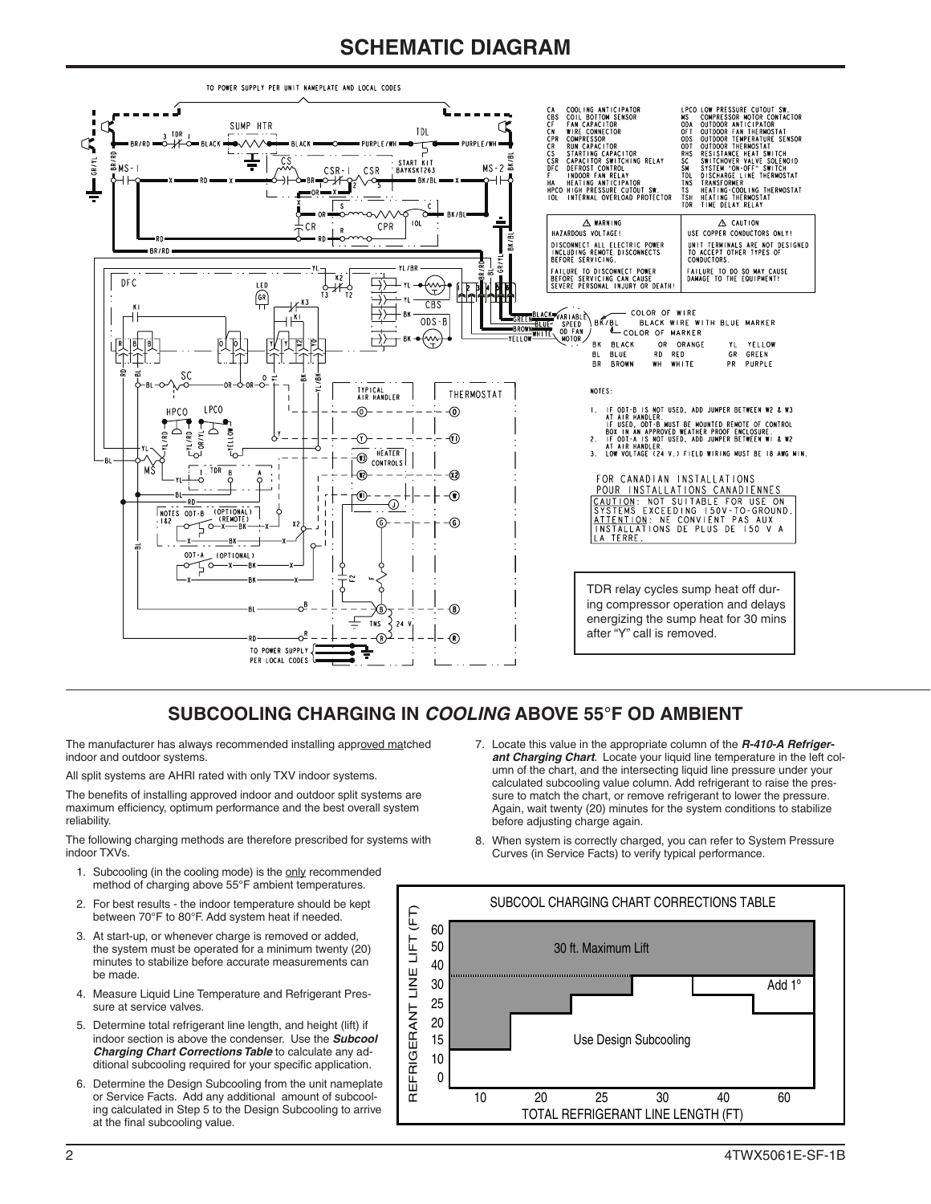## **SCHEMATIC DIAGRAM**



#### **SUBCOOLING CHARGING IN** *COOLING* **ABOVE 55°F OD AMBIENT**

The manufacturer has always recommended installing approved matched indoor and outdoor systems.

All split systems are AHRI rated with only TXV indoor systems.

The benefits of installing approved indoor and outdoor split systems are maximum efficiency, optimum performance and the best overall system reliability.

The following charging methods are therefore prescribed for systems with indoor TXVs.

- 1. Subcooling (in the cooling mode) is the only recommended method of charging above 55°F ambient temperatures.
- 2. For best results the indoor temperature should be kept between 70°F to 80°F. Add system heat if needed.
- 3. At start-up, or whenever charge is removed or added, the system must be operated for a minimum twenty (20) minutes to stabilize before accurate measurements can be made.
- 4. Measure Liquid Line Temperature and Refrigerant Pressure at service valves.
- 5. Determine total refrigerant line length, and height (lift) if indoor section is above the condenser. Use the *Subcool Charging Chart Corrections Table* to calculate any additional subcooling required for your specific application.
- 6. Determine the Design Subcooling from the unit nameplate or Service Facts. Add any additional amount of subcooling calculated in Step 5 to the Design Subcooling to arrive at the final subcooling value.
- 7. Locate this value in the appropriate column of the *R-410-A Refrigerant Charging Chart*. Locate your liquid line temperature in the left column of the chart, and the intersecting liquid line pressure under your calculated subcooling value column. Add refrigerant to raise the pressure to match the chart, or remove refrigerant to lower the pressure. Again, wait twenty (20) minutes for the system conditions to stabilize before adjusting charge again.
- 8. When system is correctly charged, you can refer to System Pressure Curves (in Service Facts) to verify typical performance.

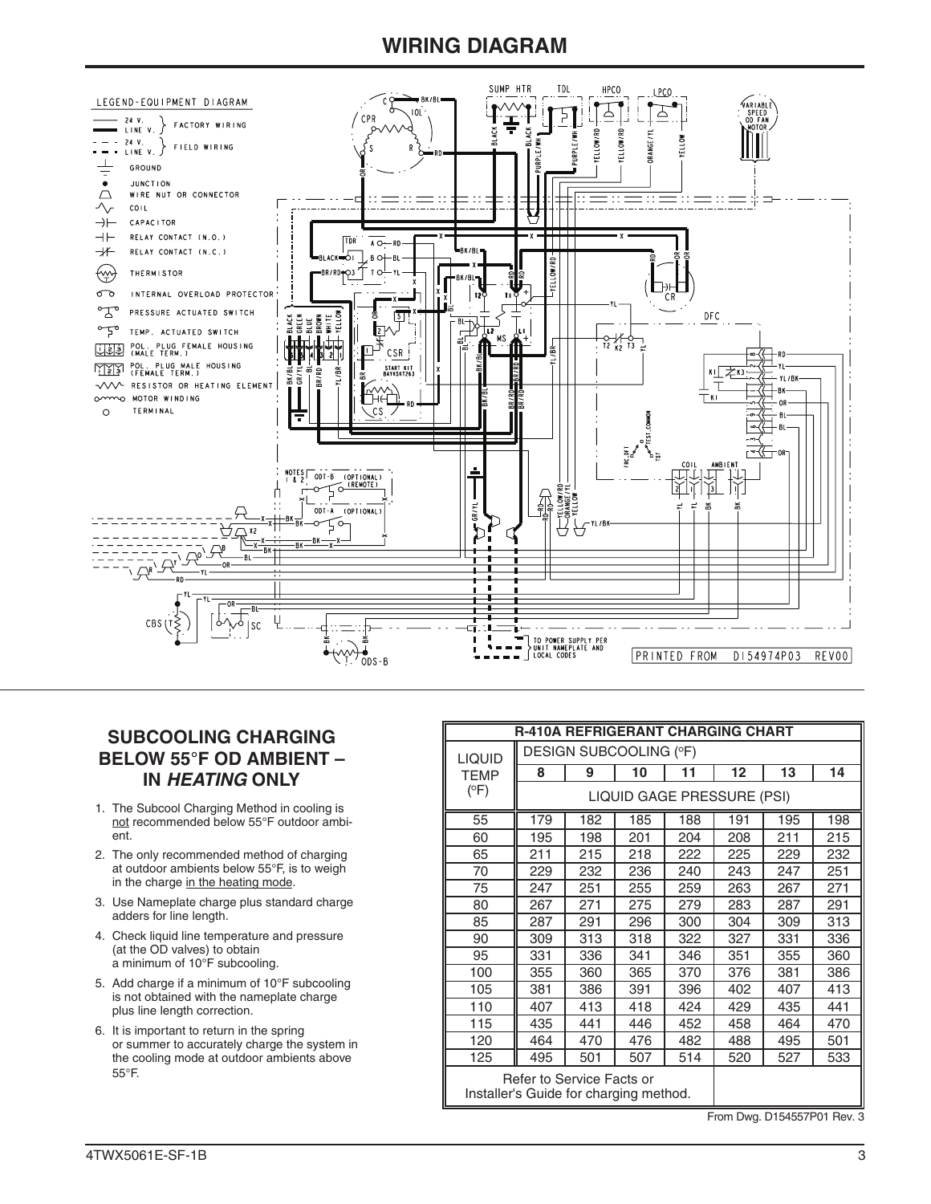### **WIRING DIAGRAM**



#### **SUBCOOLING CHARGING BELOW 55°F OD AMBIENT – IN** *HEATING* **ONLY**

- 1. The Subcool Charging Method in cooling is not recommended below 55°F outdoor ambient.
- 2. The only recommended method of charging at outdoor ambients below 55°F, is to weigh in the charge in the heating mode.
- 3. Use Nameplate charge plus standard charge adders for line length.
- 4. Check liquid line temperature and pressure (at the OD valves) to obtain a minimum of 10°F subcooling.
- 5. Add charge if a minimum of 10°F subcooling is not obtained with the nameplate charge plus line length correction.
- 6. It is important to return in the spring or summer to accurately charge the system in the cooling mode at outdoor ambients above 55°F.

| <b>R-410A REFRIGERANT CHARGING CHART</b>                            |                            |     |     |     |     |     |     |
|---------------------------------------------------------------------|----------------------------|-----|-----|-----|-----|-----|-----|
| <b>LIQUID</b>                                                       | DESIGN SUBCOOLING (°F)     |     |     |     |     |     |     |
| <b>TEMP</b>                                                         | 8                          | 9   | 10  | 11  | 12  | 13  | 14  |
| (°F)                                                                | LIQUID GAGE PRESSURE (PSI) |     |     |     |     |     |     |
| 55                                                                  | 179                        | 182 | 185 | 188 | 191 | 195 | 198 |
| 60                                                                  | 195                        | 198 | 201 | 204 | 208 | 211 | 215 |
| 65                                                                  | 211                        | 215 | 218 | 222 | 225 | 229 | 232 |
| 70                                                                  | 229                        | 232 | 236 | 240 | 243 | 247 | 251 |
| 75                                                                  | 247                        | 251 | 255 | 259 | 263 | 267 | 271 |
| 80                                                                  | 267                        | 271 | 275 | 279 | 283 | 287 | 291 |
| 85                                                                  | 287                        | 291 | 296 | 300 | 304 | 309 | 313 |
| 90                                                                  | 309                        | 313 | 318 | 322 | 327 | 331 | 336 |
| 95                                                                  | 331                        | 336 | 341 | 346 | 351 | 355 | 360 |
| 100                                                                 | 355                        | 360 | 365 | 370 | 376 | 381 | 386 |
| 105                                                                 | 381                        | 386 | 391 | 396 | 402 | 407 | 413 |
| 110                                                                 | 407                        | 413 | 418 | 424 | 429 | 435 | 441 |
| 115                                                                 | 435                        | 441 | 446 | 452 | 458 | 464 | 470 |
| 120                                                                 | 464                        | 470 | 476 | 482 | 488 | 495 | 501 |
| 125                                                                 | 495                        | 501 | 507 | 514 | 520 | 527 | 533 |
| Refer to Service Facts or<br>Installer's Guide for charging method. |                            |     |     |     |     |     |     |

From Dwg. D154557P01 Rev. 3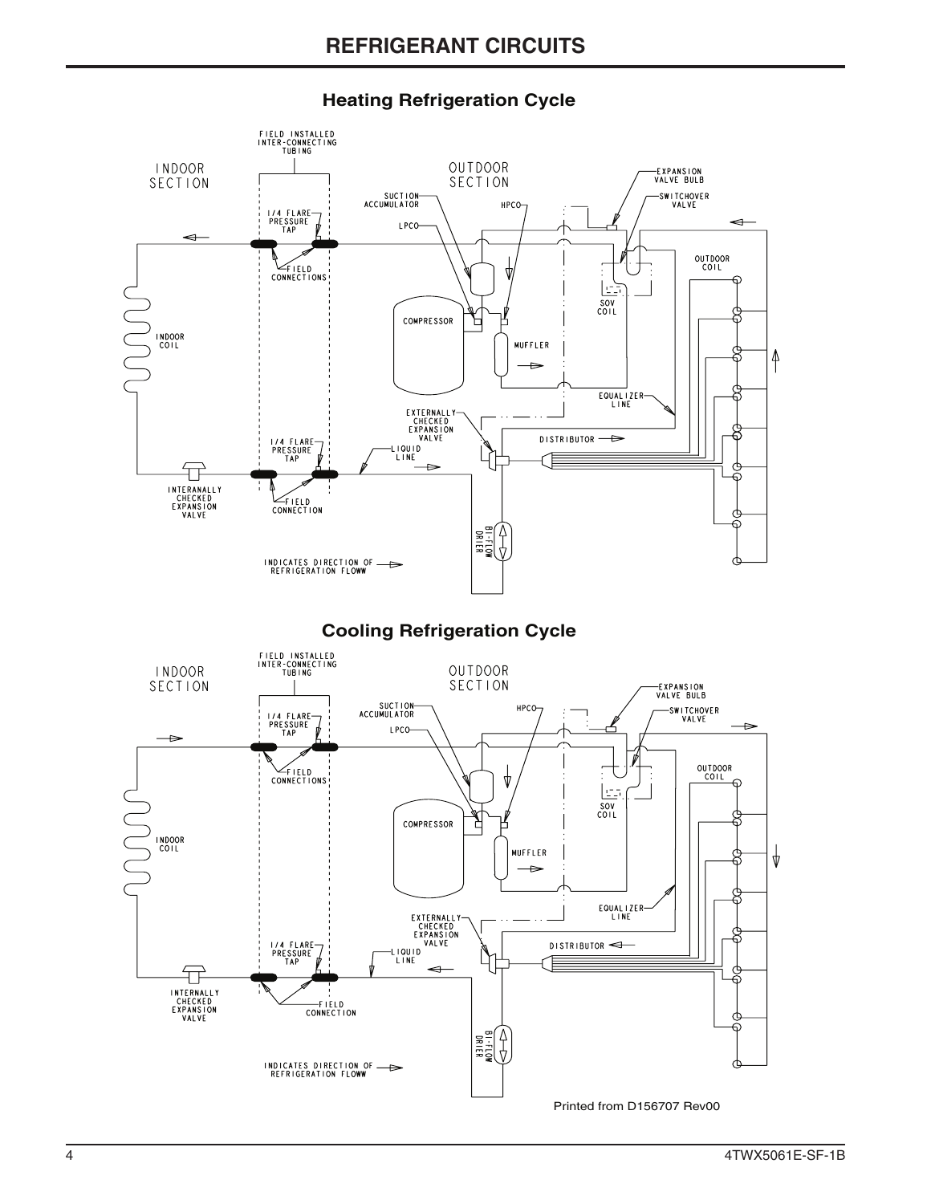

#### **Heating Refrigeration Cycle**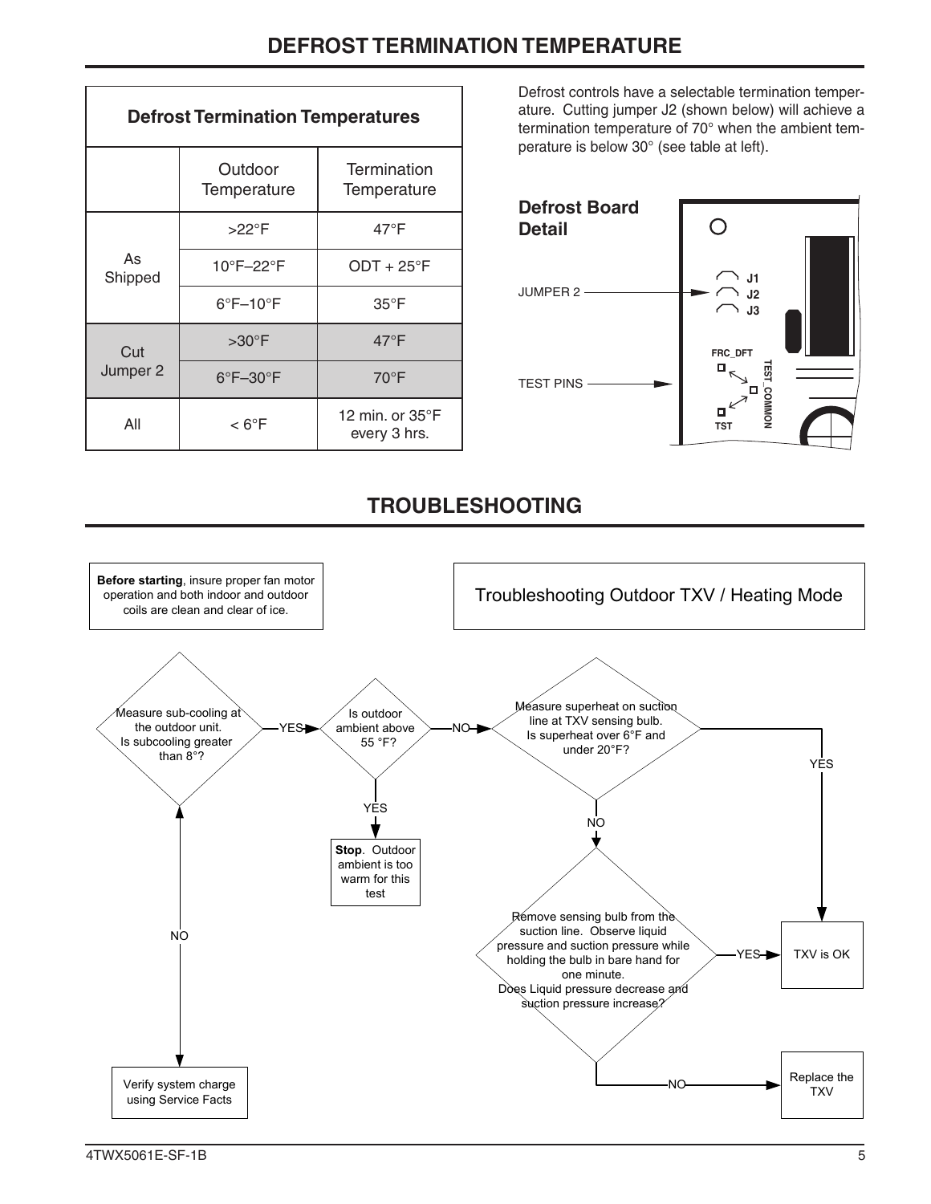| <b>Defrost Termination Temperatures</b> |                               |                                           |  |  |
|-----------------------------------------|-------------------------------|-------------------------------------------|--|--|
|                                         | Outdoor<br>Temperature        | Termination<br>Temperature                |  |  |
| As<br>Shipped                           | $>22^{\circ}$ F               | $47^{\circ}$ F                            |  |  |
|                                         | 10°F-22°F                     | $ODT + 25$ °F                             |  |  |
|                                         | $6^{\circ}$ F $-10^{\circ}$ F | $35^{\circ}$ F                            |  |  |
| Cut<br>Jumper 2                         | $>30^{\circ}$ F               | $47^{\circ}$ F                            |  |  |
|                                         | $6^{\circ}$ F $-30^{\circ}$ F | $70^{\circ}$ F                            |  |  |
| All                                     | $< 6^{\circ}$ F               | 12 min. or $35^{\circ}$ F<br>every 3 hrs. |  |  |

Defrost controls have a selectable termination temperature. Cutting jumper J2 (shown below) will achieve a termination temperature of 70° when the ambient temperature is below 30° (see table at left).



## **TROUBLESHOOTING**

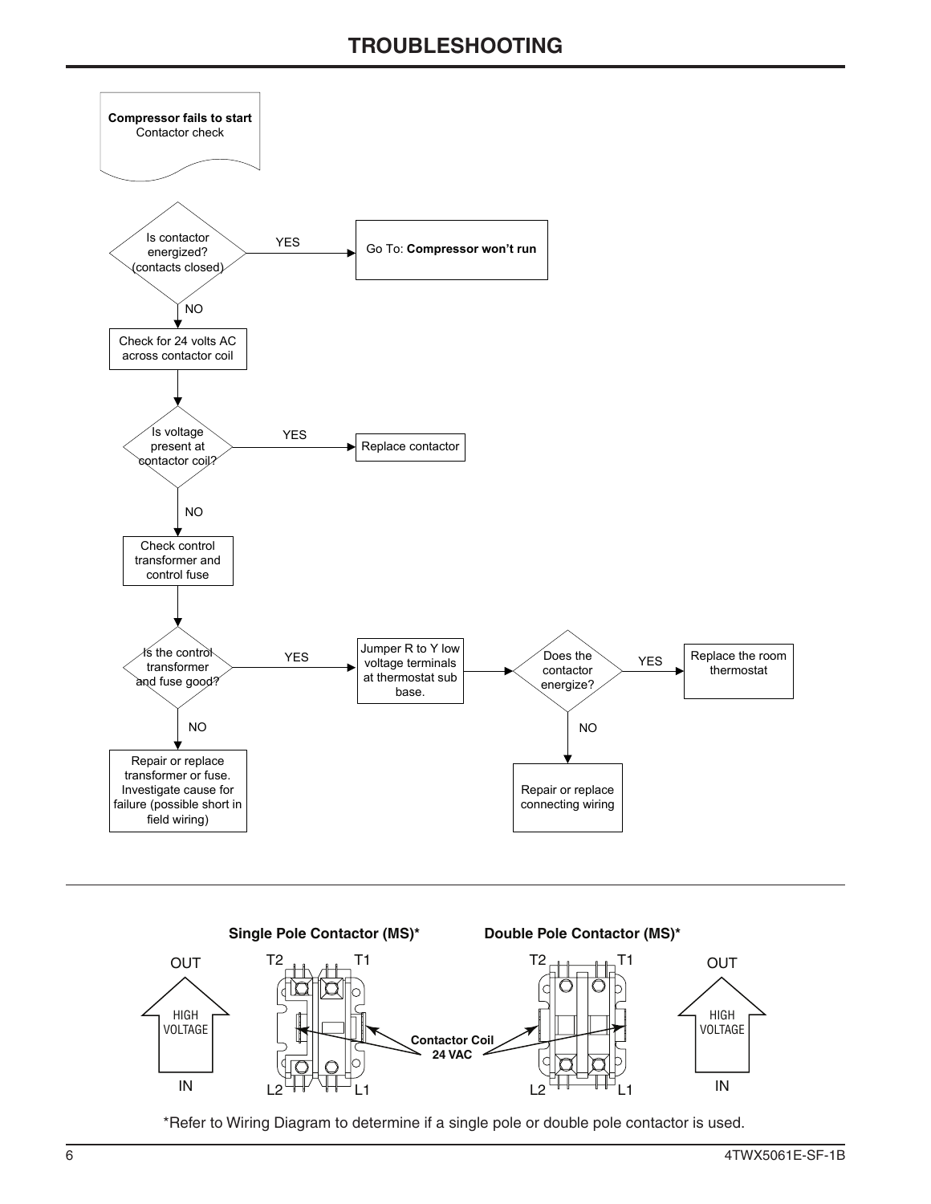



\*Refer to Wiring Diagram to determine if a single pole or double pole contactor is used.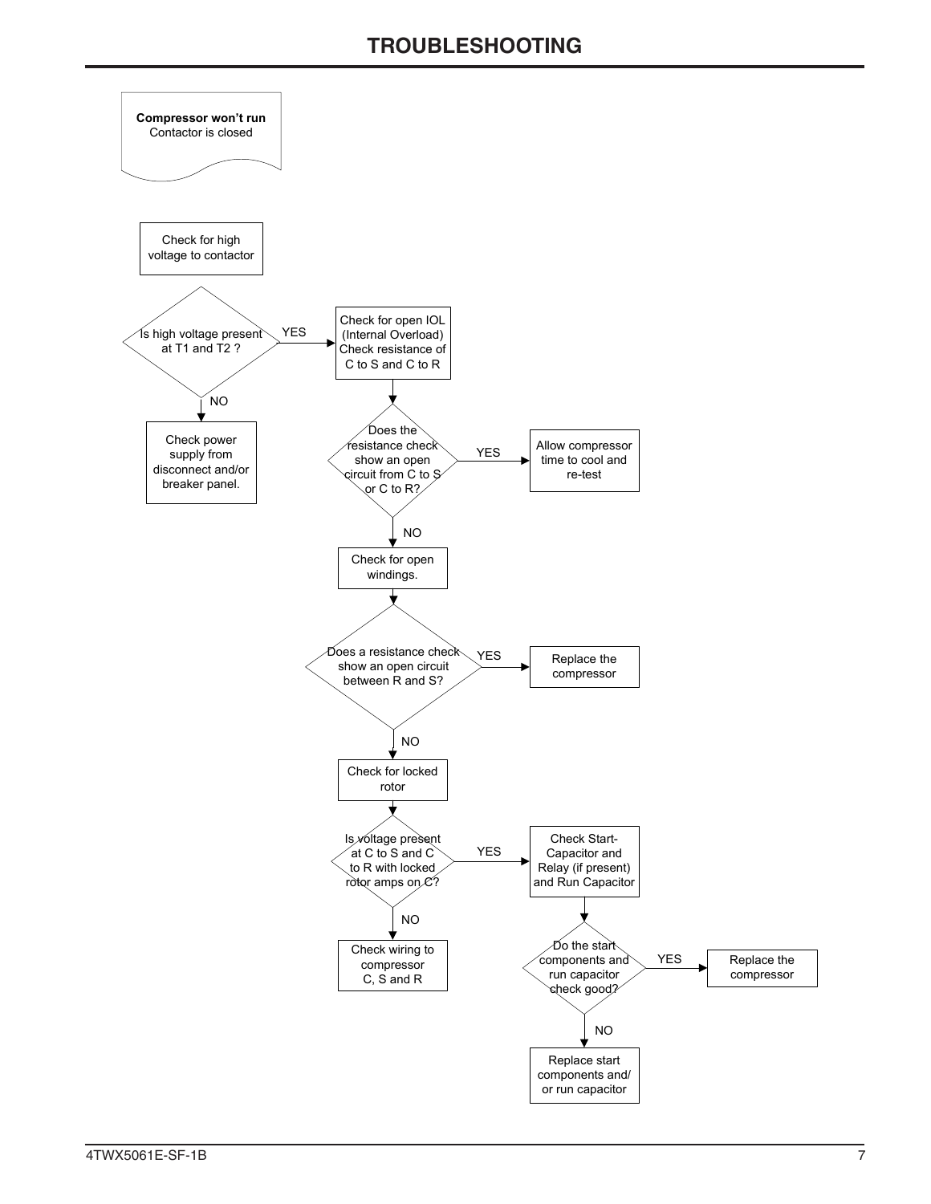